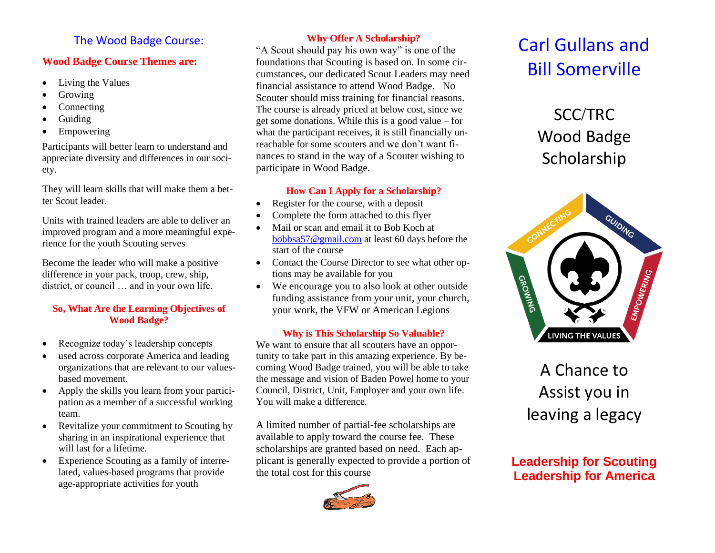### The Wood Badge Course:

### **Wood Badge Course Themes are:**

- Living the Values
- Growing
- **Connecting**
- Guiding
- Empowering

Participants will better learn to understand and appreciate diversity and differences in our society.

They will learn skills that will make them a better Scout leader.

Units with trained leaders are able to deliver an improved program and a more meaningful experience for the youth Scouting serves

Become the leader who will make a positive difference in your pack, troop, crew, ship, district, or council … and in your own life.

### **So, What Are the Learning Objectives of Wood Badge?**

- Recognize today's leadership concepts
- used across corporate America and leading organizations that are relevant to our valuesbased movement.
- Apply the skills you learn from your participation as a member of a successful working team.
- Revitalize your commitment to Scouting by sharing in an inspirational experience that will last for a lifetime.
- Experience Scouting as a family of interrelated, values-based programs that provide age-appropriate activities for youth

### **Why Offer A Scholarship?**

"A Scout should pay his own way" is one of the foundations that Scouting is based on. In some circumstances, our dedicated Scout Leaders may need financial assistance to attend Wood Badge. No Scouter should miss training for financial reasons. The course is already priced at below cost, since we get some donations. While this is a good value – for what the participant receives, it is still financially unreachable for some scouters and we don't want finances to stand in the way of a Scouter wishing to participate in Wood Badge.

### **How Can I Apply for a Scholarship?**

- Register for the course, with a deposit
- Complete the form attached to this flyer
- Mail or scan and email it to Bob Koch at [bobbsa57@gmail.com](mailto:bobbsa57@gmail.com) at least 60 days before the start of the course
- Contact the Course Director to see what other options may be available for you
- We encourage you to also look at other outside funding assistance from your unit, your church, your work, the VFW or American Legions

### **Why is This Scholarship So Valuable?**

We want to ensure that all scouters have an opportunity to take part in this amazing experience. By becoming Wood Badge trained, you will be able to take the message and vision of Baden Powel home to your Council, District, Unit, Employer and your own life. You will make a difference.

A limited number of partial-fee scholarships are available to apply toward the course fee. These scholarships are granted based on need. Each applicant is generally expected to provide a portion of the total cost for this course



## Carl Gullans and Bill Somerville

### SCC/TRC Wood Badge Scholarship



### A Chance to Assist you in leaving a legacy

### **Leadership for Scouting Leadership for America**